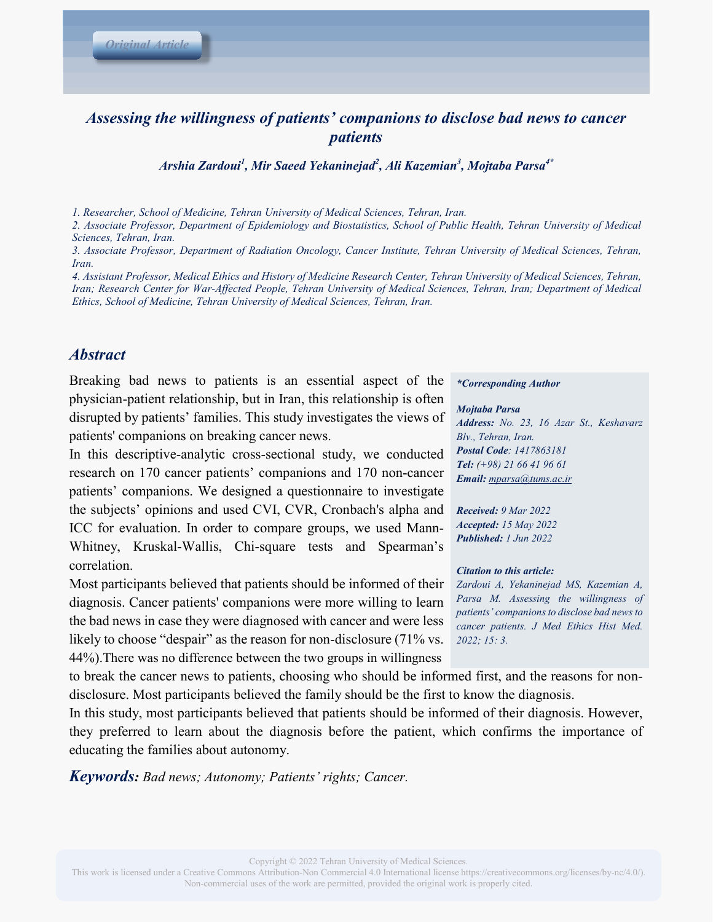# *Assessing the willingness of patients' companions to disclose bad news to cancer patients*

*Arshia Zardoui<sup>1</sup> , Mir Saeed Yekaninejad<sup>2</sup> , Ali Kazemian3 , Mojtaba Parsa4\**

*1. Researcher, School of Medicine, Tehran University of Medical Sciences, Tehran, Iran.*

*2. Associate Professor, Department of Epidemiology and Biostatistics, School of Public Health, Tehran University of Medical Sciences, Tehran, Iran.* 

*3. Associate Professor, Department of Radiation Oncology, Cancer Institute, Tehran University of Medical Sciences, Tehran, Iran.*

*4. Assistant Professor, Medical Ethics and History of Medicine Research Center, Tehran University of Medical Sciences, Tehran, Iran; Research Center for War-Affected People, Tehran University of Medical Sciences, Tehran, Iran; Department of Medical Ethics, School of Medicine, Tehran University of Medical Sciences, Tehran, Iran.* 

### *Abstract*

Breaking bad news to patients is an essential aspect of the physician-patient relationship, but in Iran, this relationship is often disrupted by patients' families. This study investigates the views of patients' companions on breaking cancer news.

In this descriptive-analytic cross-sectional study, we conducted research on 170 cancer patients' companions and 170 non-cancer patients' companions. We designed a questionnaire to investigate the subjects' opinions and used CVI, CVR, Cronbach's alpha and ICC for evaluation. In order to compare groups, we used Mann-Whitney, Kruskal-Wallis, Chi-square tests and Spearman's correlation.

Most participants believed that patients should be informed of their diagnosis. Cancer patients' companions were more willing to learn the bad news in case they were diagnosed with cancer and were less likely to choose "despair" as the reason for non-disclosure (71% vs. 44%).There was no difference between the two groups in willingness

to break the cancer news to patients, choosing who should be informed first, and the reasons for nondisclosure. Most participants believed the family should be the first to know the diagnosis.

In this study, most participants believed that patients should be informed of their diagnosis. However, they preferred to learn about the diagnosis before the patient, which confirms the importance of educating the families about autonomy.

*Keywords: Bad news; Autonomy; Patients' rights; Cancer.*

#### *\*Corresponding Author*

### *Mojtaba Parsa*

*Address: No. 23, 16 Azar St., Keshavarz Blv., Tehran, Iran. Postal Code: 1417863181 Tel: (+98) 21 66 41 96 61 Email: mparsa@tums.ac.ir*

*Received: 9 Mar 2022 Accepted: 15 May 2022 Published: 1 Jun 2022*

#### *Citation to this article:*

*Zardoui A, Yekaninejad MS, Kazemian A, Parsa M. Assessing the willingness of patients' companions to disclose bad news to cancer patients. J Med Ethics Hist Med. 2022; 15: 3.*

This work is licensed under a Creative Commons Attribution-Non Commercial 4.0 International license https://creativecommons.org/licenses/by-nc/4.0/). Non-commercial uses of the work are permitted, provided the original work is properly cited.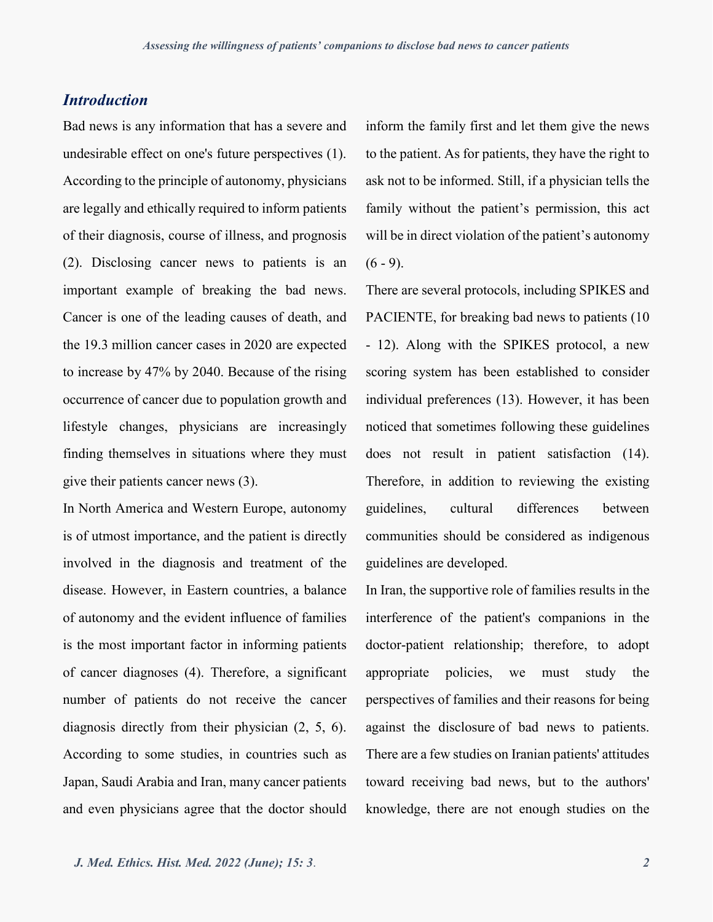## *Introduction*

Bad news is any information that has a severe and undesirable effect on one's future perspectives (1). According to the principle of autonomy, physicians are legally and ethically required to inform patients of their diagnosis, course of illness, and prognosis (2). Disclosing cancer news to patients is an important example of breaking the bad news. Cancer is one of the leading causes of death, and the 19.3 million cancer cases in 2020 are expected to increase by 47% by 2040. Because of the rising occurrence of cancer due to population growth and lifestyle changes, physicians are increasingly finding themselves in situations where they must give their patients cancer news (3).

In North America and Western Europe, autonomy is of utmost importance, and the patient is directly involved in the diagnosis and treatment of the disease. However, in Eastern countries, a balance of autonomy and the evident influence of families is the most important factor in informing patients of cancer diagnoses (4). Therefore, a significant number of patients do not receive the cancer diagnosis directly from their physician (2, 5, 6). According to some studies, in countries such as Japan, Saudi Arabia and Iran, many cancer patients and even physicians agree that the doctor should

inform the family first and let them give the news to the patient. As for patients, they have the right to ask not to be informed. Still, if a physician tells the family without the patient's permission, this act will be in direct violation of the patient's autonomy  $(6 - 9)$ .

There are several protocols, including SPIKES and PACIENTE, for breaking bad news to patients (10 - 12). Along with the SPIKES protocol, a new scoring system has been established to consider individual preferences (13). However, it has been noticed that sometimes following these guidelines does not result in patient satisfaction (14). Therefore, in addition to reviewing the existing guidelines, cultural differences between communities should be considered as indigenous guidelines are developed.

In Iran, the supportive role of families results in the interference of the patient's companions in the doctor-patient relationship; therefore, to adopt appropriate policies, we must study the perspectives of families and their reasons for being against the disclosure of bad news to patients. There are a few studies on Iranian patients' attitudes toward receiving bad news, but to the authors' knowledge, there are not enough studies on the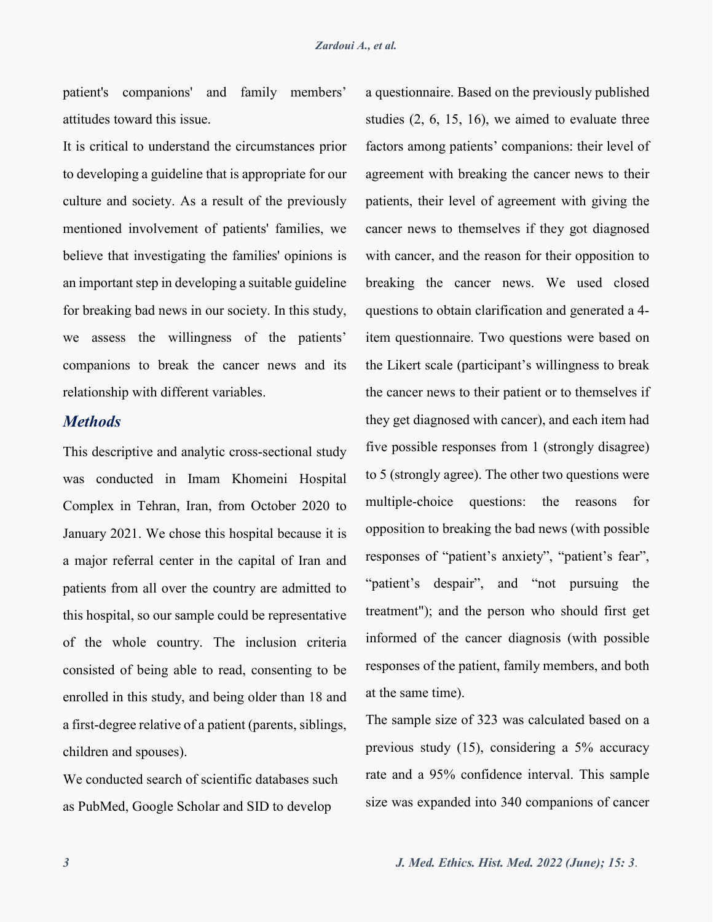patient's companions' and family members' attitudes toward this issue.

It is critical to understand the circumstances prior to developing a guideline that is appropriate for our culture and society. As a result of the previously mentioned involvement of patients' families, we believe that investigating the families' opinions is an important step in developing a suitable guideline for breaking bad news in our society. In this study, we assess the willingness of the patients' companions to break the cancer news and its relationship with different variables.

### *Methods*

This descriptive and analytic cross-sectional study was conducted in Imam Khomeini Hospital Complex in Tehran, Iran, from October 2020 to January 2021. We chose this hospital because it is a major referral center in the capital of Iran and patients from all over the country are admitted to this hospital, so our sample could be representative of the whole country. The inclusion criteria consisted of being able to read, consenting to be enrolled in this study, and being older than 18 and a first-degree relative of a patient (parents, siblings, children and spouses).

We conducted search of scientific databases such as PubMed, Google Scholar and SID to develop

a questionnaire. Based on the previously published studies (2, 6, 15, 16), we aimed to evaluate three factors among patients' companions: their level of agreement with breaking the cancer news to their patients, their level of agreement with giving the cancer news to themselves if they got diagnosed with cancer, and the reason for their opposition to breaking the cancer news. We used closed questions to obtain clarification and generated a 4 item questionnaire. Two questions were based on the Likert scale (participant's willingness to break the cancer news to their patient or to themselves if they get diagnosed with cancer), and each item had five possible responses from 1 (strongly disagree) to 5 (strongly agree). The other two questions were multiple-choice questions: the reasons for opposition to breaking the bad news (with possible responses of "patient's anxiety", "patient's fear", "patient's despair", and "not pursuing the treatment"); and the person who should first get informed of the cancer diagnosis (with possible responses of the patient, family members, and both at the same time).

The sample size of 323 was calculated based on a previous study (15), considering a 5% accuracy rate and a 95% confidence interval. This sample size was expanded into 340 companions of cancer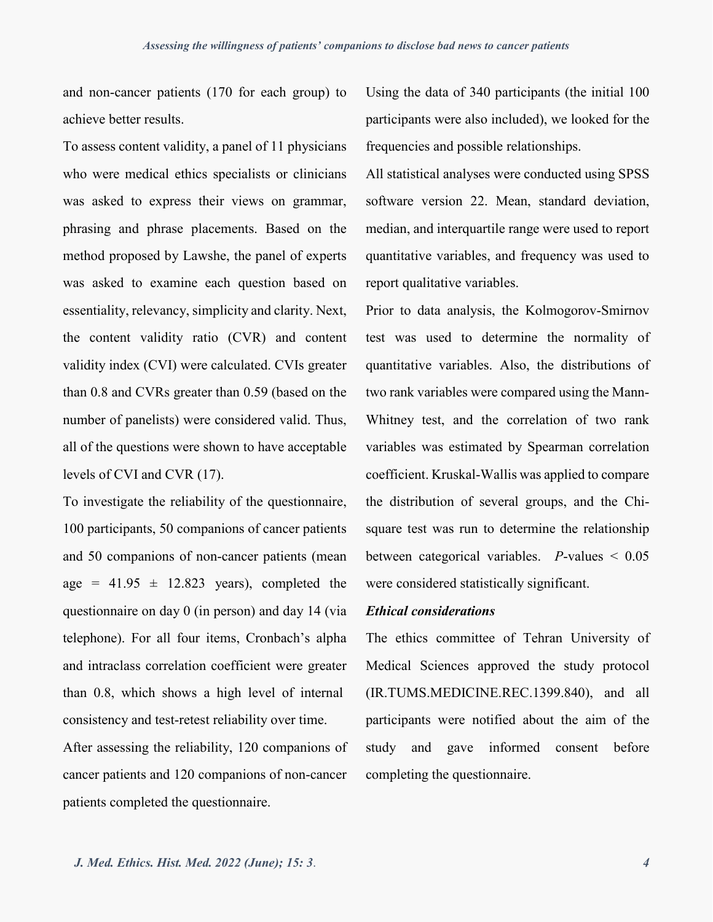and non-cancer patients (170 for each group) to achieve better results.

To assess content validity, a panel of 11 physicians who were medical ethics specialists or clinicians was asked to express their views on grammar, phrasing and phrase placements. Based on the method proposed by Lawshe, the panel of experts was asked to examine each question based on essentiality, relevancy, simplicity and clarity. Next, the content validity ratio (CVR) and content validity index (CVI) were calculated. CVIs greater than 0.8 and CVRs greater than 0.59 (based on the number of panelists) were considered valid. Thus, all of the questions were shown to have acceptable levels of CVI and CVR (17).

To investigate the reliability of the questionnaire, 100 participants, 50 companions of cancer patients and 50 companions of non-cancer patients (mean age =  $41.95 \pm 12.823$  years), completed the questionnaire on day 0 (in person) and day 14 (via telephone). For all four items, Cronbach's alpha and intraclass correlation coefficient were greater than 0.8, which shows a high level of internal consistency and test-retest reliability over time.

After assessing the reliability, 120 companions of cancer patients and 120 companions of non-cancer patients completed the questionnaire.

Using the data of 340 participants (the initial 100 participants were also included), we looked for the frequencies and possible relationships.

All statistical analyses were conducted using SPSS software version 22. Mean, standard deviation, median, and interquartile range were used to report quantitative variables, and frequency was used to report qualitative variables.

Prior to data analysis, the Kolmogorov-Smirnov test was used to determine the normality of quantitative variables. Also, the distributions of two rank variables were compared using the Mann-Whitney test, and the correlation of two rank variables was estimated by Spearman correlation coefficient. Kruskal-Wallis was applied to compare the distribution of several groups, and the Chisquare test was run to determine the relationship between categorical variables. *P*-values < 0.05 were considered statistically significant.

### *Ethical considerations*

The ethics committee of Tehran University of Medical Sciences approved the study protocol (IR.TUMS.MEDICINE.REC.1399.840), and all participants were notified about the aim of the study and gave informed consent before completing the questionnaire.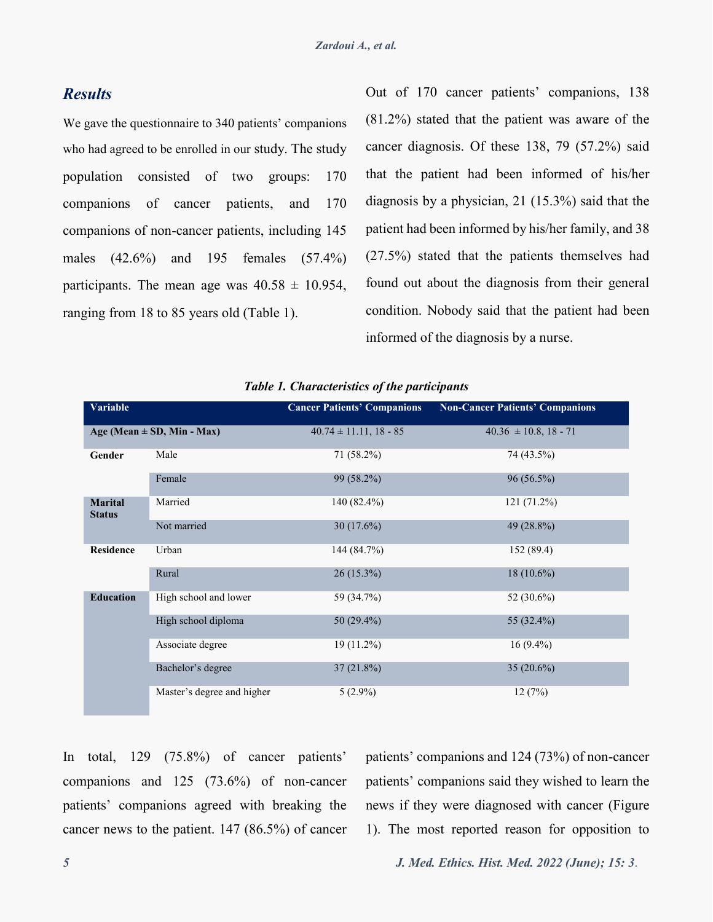### *Results*

We gave the questionnaire to 340 patients' companions who had agreed to be enrolled in our study. The study population consisted of two groups: 170 companions of cancer patients, and 170 companions of non-cancer patients, including 145 males (42.6%) and 195 females (57.4%) participants. The mean age was  $40.58 \pm 10.954$ , ranging from 18 to 85 years old (Table 1).

Out of 170 cancer patients' companions, 138 (81.2%) stated that the patient was aware of the cancer diagnosis. Of these 138, 79 (57.2%) said that the patient had been informed of his/her diagnosis by a physician, 21 (15.3%) said that the patient had been informed by his/her family, and 38 (27.5%) stated that the patients themselves had found out about the diagnosis from their general condition. Nobody said that the patient had been informed of the diagnosis by a nurse.

| <b>Variable</b>                 |                            | <b>Cancer Patients' Companions</b> | <b>Non-Cancer Patients' Companions</b> |
|---------------------------------|----------------------------|------------------------------------|----------------------------------------|
| Age (Mean $\pm$ SD, Min - Max)  |                            | $40.74 \pm 11.11$ , 18 - 85        | $40.36 \pm 10.8$ , 18 - 71             |
| Gender                          | Male                       | 71 (58.2%)                         | 74 (43.5%)                             |
|                                 | Female                     | 99 (58.2%)                         | 96 (56.5%)                             |
| <b>Marital</b><br><b>Status</b> | Married                    | 140 (82.4%)                        | 121 (71.2%)                            |
|                                 | Not married                | 30(17.6%)                          | 49 (28.8%)                             |
| <b>Residence</b>                | Urban                      | 144 (84.7%)                        | 152 (89.4)                             |
|                                 | Rural                      | $26(15.3\%)$                       | $18(10.6\%)$                           |
| <b>Education</b>                | High school and lower      | 59 (34.7%)                         | 52 (30.6%)                             |
|                                 | High school diploma        | 50 (29.4%)                         | 55 (32.4%)                             |
|                                 | Associate degree           | 19 (11.2%)                         | $16(9.4\%)$                            |
|                                 | Bachelor's degree          | 37(21.8%)                          | 35 $(20.6\%)$                          |
|                                 | Master's degree and higher | $5(2.9\%)$                         | 12(7%)                                 |

|  |  | Table 1. Characteristics of the participants |
|--|--|----------------------------------------------|
|  |  |                                              |

In total, 129 (75.8%) of cancer patients' companions and 125 (73.6%) of non-cancer patients' companions agreed with breaking the cancer news to the patient. 147 (86.5%) of cancer patients' companions and 124 (73%) of non-cancer patients' companions said they wished to learn the news if they were diagnosed with cancer (Figure 1). The most reported reason for opposition to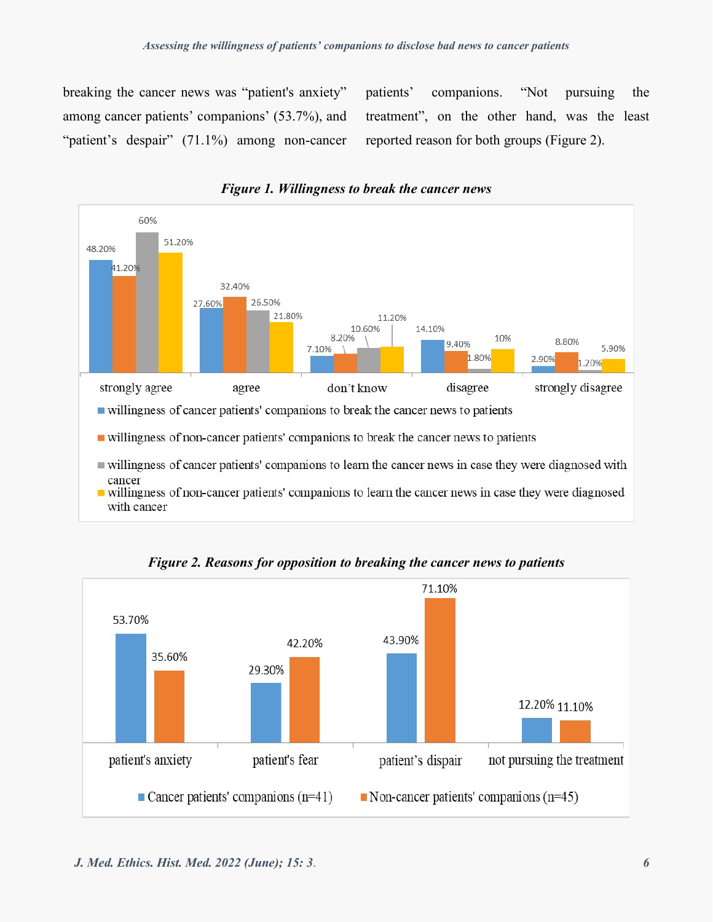breaking the cancer news was "patient's anxiety" among cancer patients' companions' (53.7%), and "patient's despair" (71.1%) among non-cancer patients' companions. "Not pursuing the treatment", on the other hand, was the least reported reason for both groups (Figure 2).



*Figure 1. Willingness to break the cancer news*



*Figure 2. Reasons for opposition to breaking the cancer news to patients*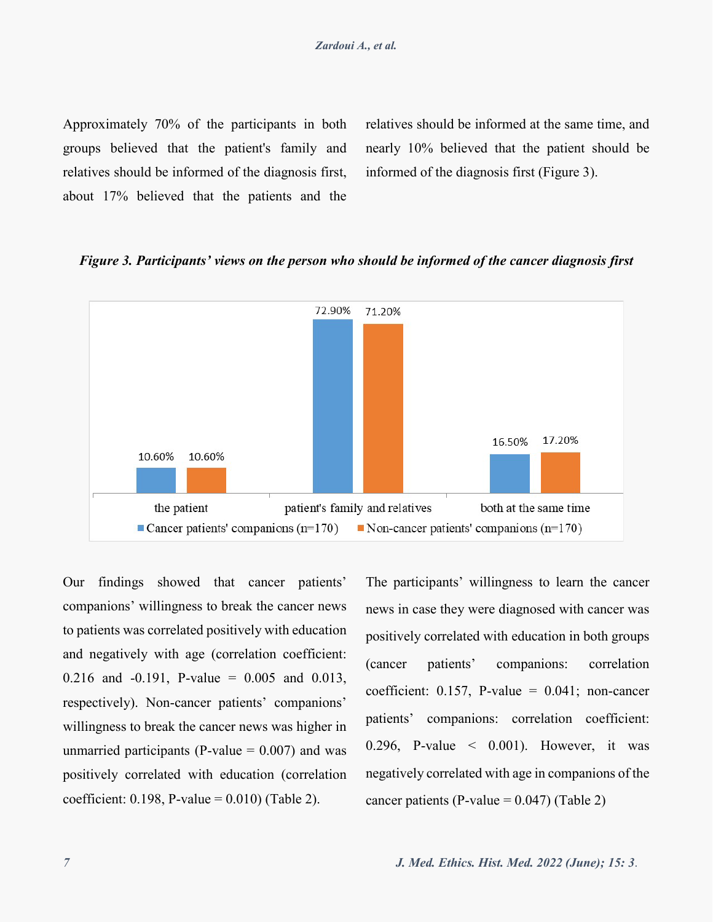Approximately 70% of the participants in both groups believed that the patient's family and relatives should be informed of the diagnosis first, about 17% believed that the patients and the relatives should be informed at the same time, and nearly 10% believed that the patient should be informed of the diagnosis first (Figure 3).

### *Figure 3. Participants' views on the person who should be informed of the cancer diagnosis first*



Our findings showed that cancer patients' companions' willingness to break the cancer news to patients was correlated positively with education and negatively with age (correlation coefficient: 0.216 and  $-0.191$ , P-value = 0.005 and 0.013, respectively). Non-cancer patients' companions' willingness to break the cancer news was higher in unmarried participants (P-value  $= 0.007$ ) and was positively correlated with education (correlation coefficient:  $0.198$ , P-value =  $0.010$ ) (Table 2).

The participants' willingness to learn the cancer news in case they were diagnosed with cancer was positively correlated with education in both groups (cancer patients' companions: correlation coefficient:  $0.157$ , P-value =  $0.041$ ; non-cancer patients' companions: correlation coefficient: 0.296, P-value  $\leq$  0.001). However, it was negatively correlated with age in companions of the cancer patients (P-value =  $0.047$ ) (Table 2)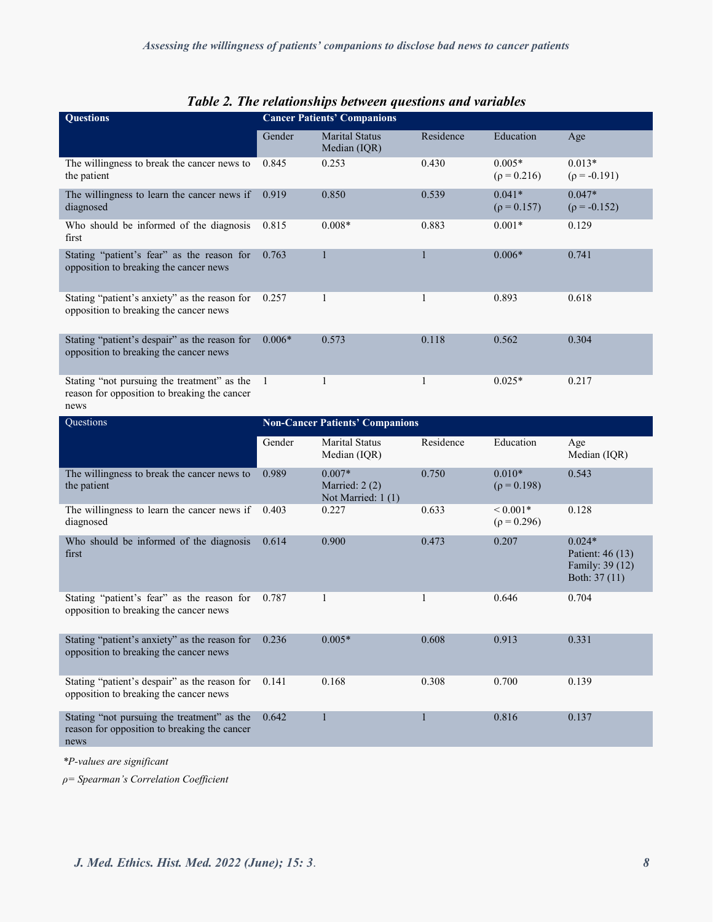| Tuble 2, The retailonships between questions and variables<br><b>Cancer Patients' Companions</b>    |          |                                                |              |                                  |                                                                  |
|-----------------------------------------------------------------------------------------------------|----------|------------------------------------------------|--------------|----------------------------------|------------------------------------------------------------------|
| <b>Questions</b>                                                                                    |          |                                                |              |                                  |                                                                  |
|                                                                                                     | Gender   | <b>Marital Status</b><br>Median (IQR)          | Residence    | Education                        | Age                                                              |
| The willingness to break the cancer news to<br>the patient                                          | 0.845    | 0.253                                          | 0.430        | $0.005*$<br>$(\rho = 0.216)$     | $0.013*$<br>$(\rho = -0.191)$                                    |
| The willingness to learn the cancer news if<br>diagnosed                                            | 0.919    | 0.850                                          | 0.539        | $0.041*$<br>$(\rho = 0.157)$     | $0.047*$<br>$(\rho = -0.152)$                                    |
| Who should be informed of the diagnosis<br>first                                                    | 0.815    | $0.008*$                                       | 0.883        | $0.001*$                         | 0.129                                                            |
| Stating "patient's fear" as the reason for<br>opposition to breaking the cancer news                | 0.763    | 1                                              | $\mathbf{1}$ | $0.006*$                         | 0.741                                                            |
| Stating "patient's anxiety" as the reason for<br>opposition to breaking the cancer news             | 0.257    | 1                                              | $\mathbf{1}$ | 0.893                            | 0.618                                                            |
| Stating "patient's despair" as the reason for<br>opposition to breaking the cancer news             | $0.006*$ | 0.573                                          | 0.118        | 0.562                            | 0.304                                                            |
| Stating "not pursuing the treatment" as the<br>reason for opposition to breaking the cancer<br>news | - 1      | $\mathbf{1}$                                   | $\mathbf{1}$ | $0.025*$                         | 0.217                                                            |
| Questions                                                                                           |          | <b>Non-Cancer Patients' Companions</b>         |              |                                  |                                                                  |
|                                                                                                     | Gender   | Marital Status<br>Median (IQR)                 | Residence    | Education                        | Age<br>Median (IQR)                                              |
| The willingness to break the cancer news to<br>the patient                                          | 0.989    | $0.007*$<br>Married: 2(2)<br>Not Married: 1(1) | 0.750        | $0.010*$<br>$(\rho = 0.198)$     | 0.543                                                            |
| The willingness to learn the cancer news if<br>diagnosed                                            | 0.403    | 0.227                                          | 0.633        | ${}< 0.001*$<br>$(\rho = 0.296)$ | 0.128                                                            |
| Who should be informed of the diagnosis<br>first                                                    | 0.614    | 0.900                                          | 0.473        | 0.207                            | $0.024*$<br>Patient: 46 (13)<br>Family: 39 (12)<br>Both: 37 (11) |
| Stating "patient's fear" as the reason for<br>opposition to breaking the cancer news                | 0.787    | $\mathbf{1}$                                   | 1            | 0.646                            | 0.704                                                            |
| Stating "patient's anxiety" as the reason for<br>opposition to breaking the cancer news             | 0.236    | $0.005*$                                       | 0.608        | 0.913                            | 0.331                                                            |
| Stating "patient's despair" as the reason for<br>opposition to breaking the cancer news             | 0.141    | 0.168                                          | 0.308        | 0.700                            | 0.139                                                            |
| Stating "not pursuing the treatment" as the<br>reason for opposition to breaking the cancer<br>news | 0.642    | 1                                              | $\mathbf{1}$ | 0.816                            | 0.137                                                            |

## *Table 2. The relationships between questions and variables*

*\*P-values are significant*

*ρ= Spearman's Correlation Coefficient*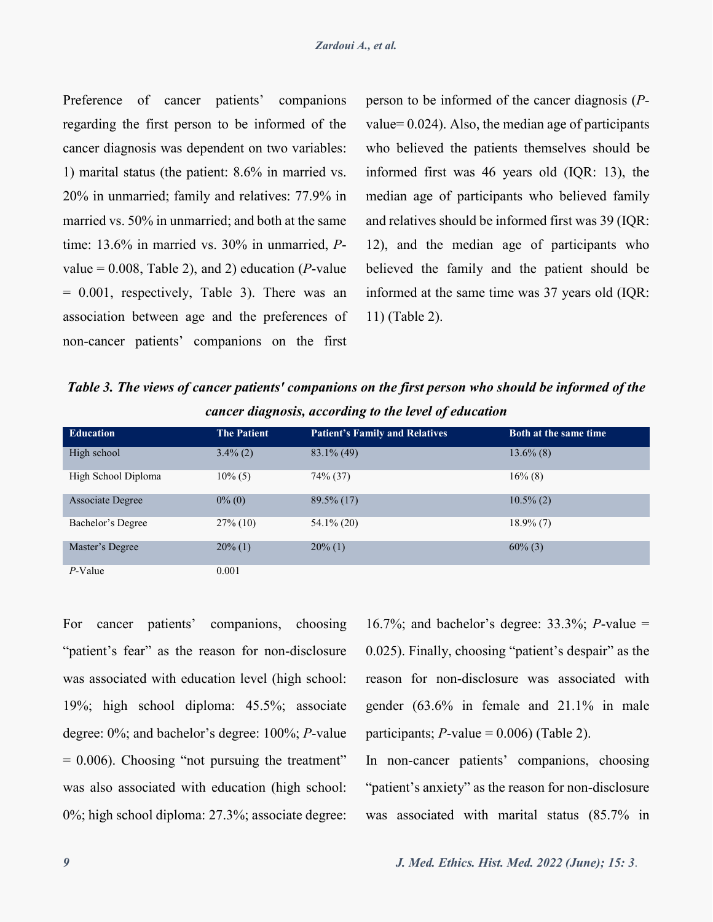Preference of cancer patients' companions regarding the first person to be informed of the cancer diagnosis was dependent on two variables: 1) marital status (the patient: 8.6% in married vs. 20% in unmarried; family and relatives: 77.9% in married vs. 50% in unmarried; and both at the same time: 13.6% in married vs. 30% in unmarried, *P*value =  $0.008$ , Table 2), and 2) education (*P*-value = 0.001, respectively, Table 3). There was an association between age and the preferences of non-cancer patients' companions on the first person to be informed of the cancer diagnosis (*P*value= 0.024). Also, the median age of participants who believed the patients themselves should be informed first was 46 years old (IQR: 13), the median age of participants who believed family and relatives should be informed first was 39 (IQR: 12), and the median age of participants who believed the family and the patient should be informed at the same time was 37 years old (IQR: 11) (Table 2).

*Table 3. The views of cancer patients' companions on the first person who should be informed of the cancer diagnosis, according to the level of education* 

| <b>Education</b>        | <b>The Patient</b> | <b>Patient's Family and Relatives</b> | <b>Both at the same time</b> |
|-------------------------|--------------------|---------------------------------------|------------------------------|
| High school             | $3.4\%$ (2)        | $83.1\%$ (49)                         | $13.6\%$ (8)                 |
| High School Diploma     | $10\%$ (5)         | 74% (37)                              | $16\%$ (8)                   |
| <b>Associate Degree</b> | $0\%$ (0)          | $89.5\%$ (17)                         | $10.5\%$ (2)                 |
| Bachelor's Degree       | $27\%$ (10)        | $54.1\%$ (20)                         | $18.9\%$ (7)                 |
| Master's Degree         | $20\%$ (1)         | $20\%$ (1)                            | $60\%$ (3)                   |
| $P$ -Value              | 0.001              |                                       |                              |

For cancer patients' companions, choosing "patient's fear" as the reason for non-disclosure was associated with education level (high school: 19%; high school diploma: 45.5%; associate degree: 0%; and bachelor's degree: 100%; *P*-value  $= 0.006$ ). Choosing "not pursuing the treatment" was also associated with education (high school: 0%; high school diploma: 27.3%; associate degree:

16.7%; and bachelor's degree: 33.3%; *P*-value = 0.025). Finally, choosing "patient's despair" as the reason for non-disclosure was associated with gender (63.6% in female and 21.1% in male participants;  $P$ -value = 0.006) (Table 2).

In non-cancer patients' companions, choosing "patient's anxiety" as the reason for non-disclosure was associated with marital status (85.7% in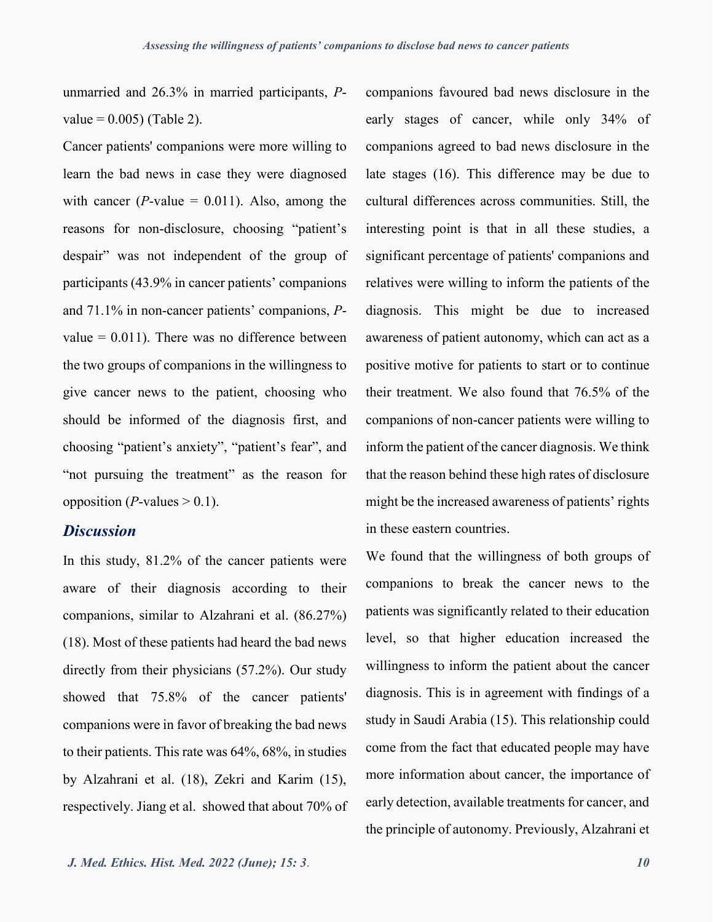unmarried and 26.3% in married participants, *P* $value = 0.005$  (Table 2).

Cancer patients' companions were more willing to learn the bad news in case they were diagnosed with cancer ( $P$ -value = 0.011). Also, among the reasons for non-disclosure, choosing "patient's despair" was not independent of the group of participants (43.9% in cancer patients' companions and 71.1% in non-cancer patients' companions, *P*value  $= 0.011$ ). There was no difference between the two groups of companions in the willingness to give cancer news to the patient, choosing who should be informed of the diagnosis first, and choosing "patient's anxiety", "patient's fear", and "not pursuing the treatment" as the reason for opposition (*P*-values  $> 0.1$ ).

### *Discussion*

In this study, 81.2% of the cancer patients were aware of their diagnosis according to their companions, similar to Alzahrani et al. (86.27%) (18). Most of these patients had heard the bad news directly from their physicians (57.2%). Our study showed that 75.8% of the cancer patients' companions were in favor of breaking the bad news to their patients. This rate was 64%, 68%, in studies by Alzahrani et al. (18), Zekri and Karim (15), respectively. Jiang et al. showed that about 70% of

companions favoured bad news disclosure in the early stages of cancer, while only 34% of companions agreed to bad news disclosure in the late stages (16). This difference may be due to cultural differences across communities. Still, the interesting point is that in all these studies, a significant percentage of patients' companions and relatives were willing to inform the patients of the diagnosis. This might be due to increased awareness of patient autonomy, which can act as a positive motive for patients to start or to continue their treatment. We also found that 76.5% of the companions of non-cancer patients were willing to inform the patient of the cancer diagnosis. We think that the reason behind these high rates of disclosure might be the increased awareness of patients' rights in these eastern countries.

We found that the willingness of both groups of companions to break the cancer news to the patients was significantly related to their education level, so that higher education increased the willingness to inform the patient about the cancer diagnosis. This is in agreement with findings of a study in Saudi Arabia (15). This relationship could come from the fact that educated people may have more information about cancer, the importance of early detection, available treatments for cancer, and the principle of autonomy. Previously, Alzahrani et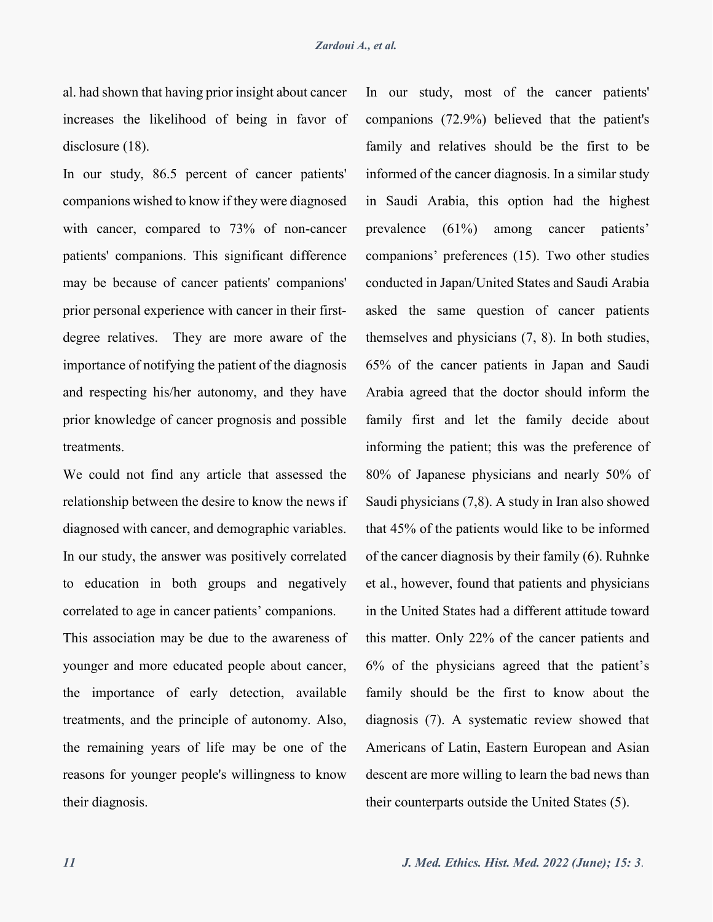al. had shown that having prior insight about cancer increases the likelihood of being in favor of disclosure  $(18)$ .

In our study, 86.5 percent of cancer patients' companions wished to know if they were diagnosed with cancer, compared to 73% of non-cancer patients' companions. This significant difference may be because of cancer patients' companions' prior personal experience with cancer in their firstdegree relatives. They are more aware of the importance of notifying the patient of the diagnosis and respecting his/her autonomy, and they have prior knowledge of cancer prognosis and possible treatments.

We could not find any article that assessed the relationship between the desire to know the news if diagnosed with cancer, and demographic variables. In our study, the answer was positively correlated to education in both groups and negatively correlated to age in cancer patients' companions.

This association may be due to the awareness of younger and more educated people about cancer, the importance of early detection, available treatments, and the principle of autonomy. Also, the remaining years of life may be one of the reasons for younger people's willingness to know their diagnosis.

In our study, most of the cancer patients' companions (72.9%) believed that the patient's family and relatives should be the first to be informed of the cancer diagnosis. In a similar study in Saudi Arabia, this option had the highest prevalence (61%) among cancer patients' companions' preferences (15). Two other studies conducted in Japan/United States and Saudi Arabia asked the same question of cancer patients themselves and physicians (7, 8). In both studies, 65% of the cancer patients in Japan and Saudi Arabia agreed that the doctor should inform the family first and let the family decide about informing the patient; this was the preference of 80% of Japanese physicians and nearly 50% of Saudi physicians (7,8). A study in Iran also showed that 45% of the patients would like to be informed of the cancer diagnosis by their family (6). Ruhnke et al., however, found that patients and physicians in the United States had a different attitude toward this matter. Only 22% of the cancer patients and 6% of the physicians agreed that the patient's family should be the first to know about the diagnosis (7). A systematic review showed that Americans of Latin, Eastern European and Asian descent are more willing to learn the bad news than their counterparts outside the United States (5).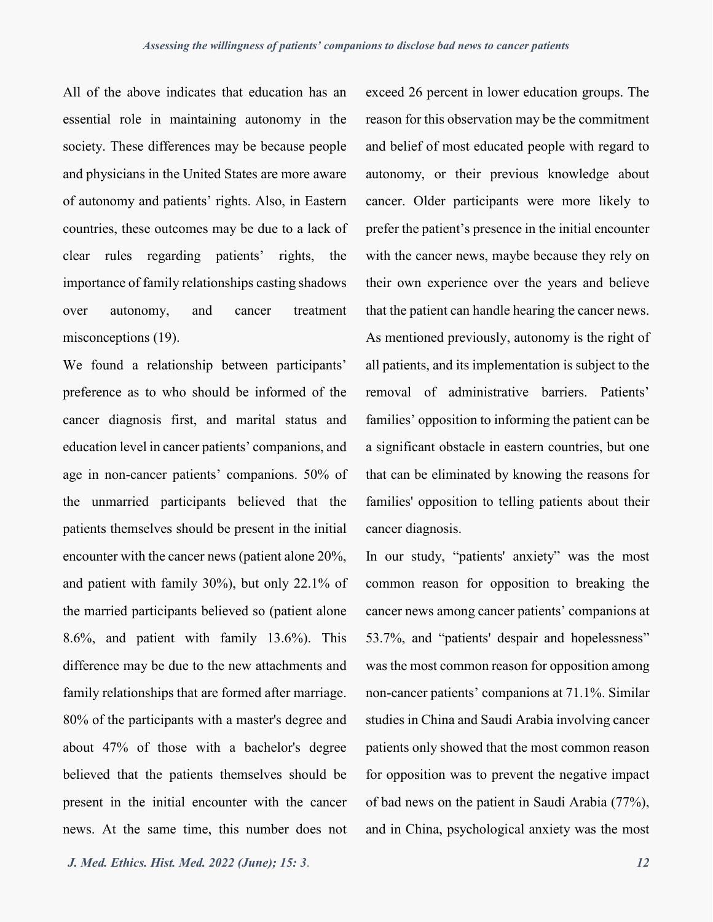All of the above indicates that education has an essential role in maintaining autonomy in the society. These differences may be because people and physicians in the United States are more aware of autonomy and patients' rights. Also, in Eastern countries, these outcomes may be due to a lack of clear rules regarding patients' rights, the importance of family relationships casting shadows over autonomy, and cancer treatment misconceptions (19).

We found a relationship between participants' preference as to who should be informed of the cancer diagnosis first, and marital status and education level in cancer patients' companions, and age in non-cancer patients' companions. 50% of the unmarried participants believed that the patients themselves should be present in the initial encounter with the cancer news (patient alone 20%, and patient with family 30%), but only 22.1% of the married participants believed so (patient alone 8.6%, and patient with family 13.6%). This difference may be due to the new attachments and family relationships that are formed after marriage. 80% of the participants with a master's degree and about 47% of those with a bachelor's degree believed that the patients themselves should be present in the initial encounter with the cancer news. At the same time, this number does not

exceed 26 percent in lower education groups. The reason for this observation may be the commitment and belief of most educated people with regard to autonomy, or their previous knowledge about cancer. Older participants were more likely to prefer the patient's presence in the initial encounter with the cancer news, maybe because they rely on their own experience over the years and believe that the patient can handle hearing the cancer news. As mentioned previously, autonomy is the right of all patients, and its implementation is subject to the removal of administrative barriers. Patients' families' opposition to informing the patient can be a significant obstacle in eastern countries, but one that can be eliminated by knowing the reasons for families' opposition to telling patients about their cancer diagnosis.

In our study, "patients' anxiety" was the most common reason for opposition to breaking the cancer news among cancer patients' companions at 53.7%, and "patients' despair and hopelessness" was the most common reason for opposition among non-cancer patients' companions at 71.1%. Similar studies in China and Saudi Arabia involving cancer patients only showed that the most common reason for opposition was to prevent the negative impact of bad news on the patient in Saudi Arabia (77%), and in China, psychological anxiety was the most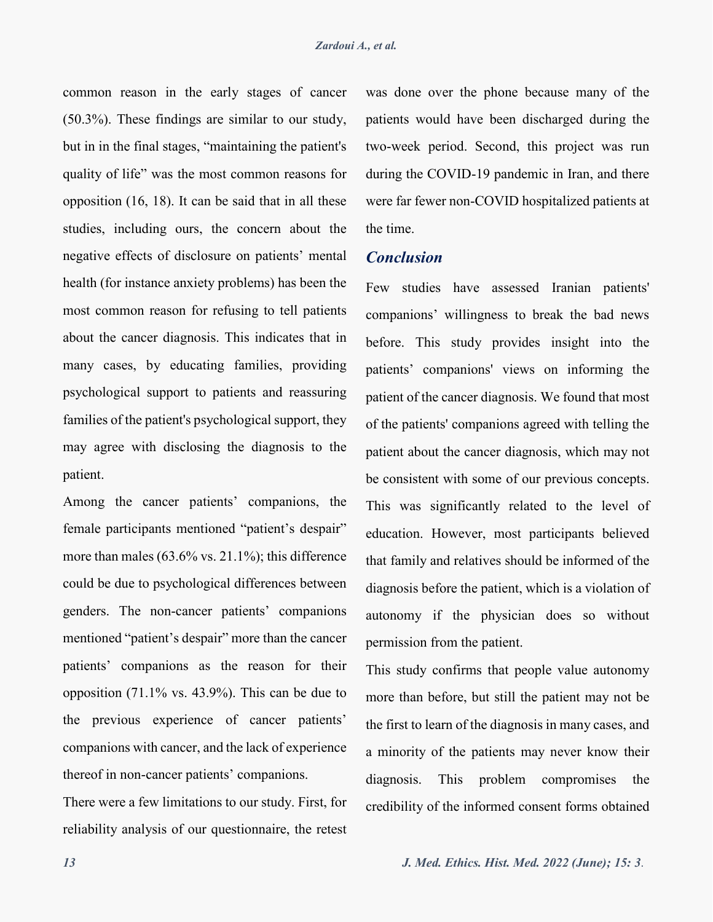common reason in the early stages of cancer (50.3%). These findings are similar to our study, but in in the final stages, "maintaining the patient's quality of life" was the most common reasons for opposition (16, 18). It can be said that in all these studies, including ours, the concern about the negative effects of disclosure on patients' mental health (for instance anxiety problems) has been the most common reason for refusing to tell patients about the cancer diagnosis. This indicates that in many cases, by educating families, providing psychological support to patients and reassuring families of the patient's psychological support, they may agree with disclosing the diagnosis to the patient.

Among the cancer patients' companions, the female participants mentioned "patient's despair" more than males (63.6% vs. 21.1%); this difference could be due to psychological differences between genders. The non-cancer patients' companions mentioned "patient's despair" more than the cancer patients' companions as the reason for their opposition (71.1% vs. 43.9%). This can be due to the previous experience of cancer patients' companions with cancer, and the lack of experience thereof in non-cancer patients' companions.

There were a few limitations to our study. First, for reliability analysis of our questionnaire, the retest

was done over the phone because many of the patients would have been discharged during the two-week period. Second, this project was run during the COVID-19 pandemic in Iran, and there were far fewer non-COVID hospitalized patients at the time.

## *Conclusion*

Few studies have assessed Iranian patients' companions' willingness to break the bad news before. This study provides insight into the patients' companions' views on informing the patient of the cancer diagnosis. We found that most of the patients' companions agreed with telling the patient about the cancer diagnosis, which may not be consistent with some of our previous concepts. This was significantly related to the level of education. However, most participants believed that family and relatives should be informed of the diagnosis before the patient, which is a violation of autonomy if the physician does so without permission from the patient.

This study confirms that people value autonomy more than before, but still the patient may not be the first to learn of the diagnosis in many cases, and a minority of the patients may never know their diagnosis. This problem compromises the credibility of the informed consent forms obtained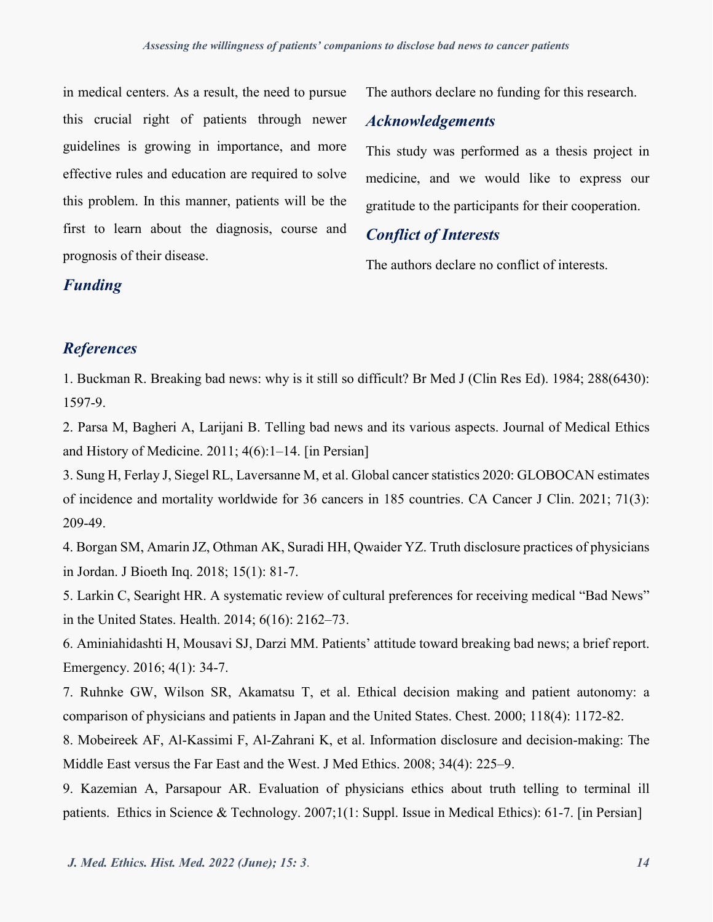in medical centers. As a result, the need to pursue this crucial right of patients through newer guidelines is growing in importance, and more effective rules and education are required to solve this problem. In this manner, patients will be the first to learn about the diagnosis, course and prognosis of their disease.

The authors declare no funding for this research.

## *Acknowledgements*

This study was performed as a thesis project in medicine, and we would like to express our gratitude to the participants for their cooperation.

## *Conflict of Interests*

The authors declare no conflict of interests.

### *Funding*

### *References*

1. Buckman R. Breaking bad news: why is it still so difficult? Br Med J (Clin Res Ed). 1984; 288(6430): 1597-9.

2. Parsa M, Bagheri A, Larijani B. Telling bad news and its various aspects. Journal of Medical Ethics and History of Medicine. 2011; 4(6):1–14. [in Persian]

3. Sung H, Ferlay J, Siegel RL, Laversanne M, et al. Global cancer statistics 2020: GLOBOCAN estimates of incidence and mortality worldwide for 36 cancers in 185 countries. CA Cancer J Clin. 2021; 71(3): 209-49.

4. Borgan SM, Amarin JZ, Othman AK, Suradi HH, Qwaider YZ. Truth disclosure practices of physicians in Jordan. J Bioeth Inq. 2018; 15(1): 81-7.

5. Larkin C, Searight HR. A systematic review of cultural preferences for receiving medical "Bad News" in the United States. Health. 2014; 6(16): 2162–73.

6. Aminiahidashti H, Mousavi SJ, Darzi MM. Patients' attitude toward breaking bad news; a brief report. Emergency. 2016; 4(1): 34-7.

7. Ruhnke GW, Wilson SR, Akamatsu T, et al. Ethical decision making and patient autonomy: a comparison of physicians and patients in Japan and the United States. Chest. 2000; 118(4): 1172-82.

8. Mobeireek AF, Al-Kassimi F, Al-Zahrani K, et al. Information disclosure and decision-making: The Middle East versus the Far East and the West. J Med Ethics. 2008; 34(4): 225–9.

9. Kazemian A, Parsapour AR. Evaluation of physicians ethics about truth telling to terminal ill patients. Ethics in Science & Technology. 2007;1(1: Suppl. Issue in Medical Ethics): 61-7. [in Persian]